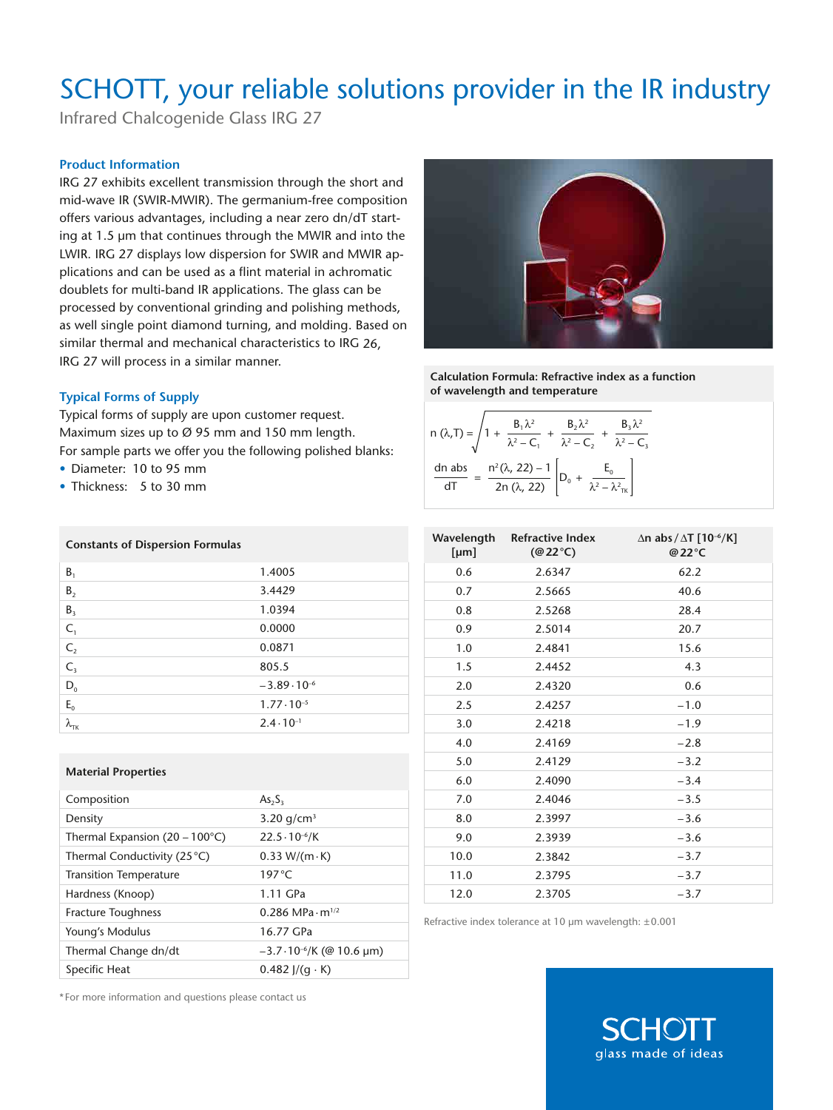# SCHOTT, your reliable solutions provider in the IR industry

Infrared Chalcogenide Glass IRG 27

### **Product Information**

IRG 27 exhibits excellent transmission through the short and mid-wave IR (SWIR-MWIR). The germanium-free composition offers various advantages, including a near zero dn/dT starting at 1.5 µm that continues through the MWIR and into the LWIR. IRG 27 displays low dispersion for SWIR and MWIR applications and can be used as a flint material in achromatic doublets for multi-band IR applications. The glass can be processed by conventional grinding and polishing methods, as well single point diamond turning, and molding. Based on similar thermal and mechanical characteristics to IRG 26, IRG 27 will process in a similar manner.

### **Typical Forms of Supply**

Typical forms of supply are upon customer request. Maximum sizes up to Ø 95 mm and 150 mm length. For sample parts we offer you the following polished blanks:

- Diameter: 10 to 95 mm
- Thickness: 5 to 30 mm

| <b>Constants of Dispersion Formulas</b> |                       |
|-----------------------------------------|-----------------------|
| $B_1$                                   | 1.4005                |
| B <sub>2</sub>                          | 3.4429                |
| B <sub>3</sub>                          | 1.0394                |
| $C_1$                                   | 0.0000                |
| $C_{2}$                                 | 0.0871                |
| $C_{3}$                                 | 805.5                 |
| $D_0$                                   | $-3.89 \cdot 10^{-6}$ |
| $E_0$                                   | $1.77 \cdot 10^{-5}$  |
| $\lambda_{\rm TK}$                      | $2.4 \cdot 10^{-1}$   |
|                                         |                       |

#### **Material Properties**

| Composition                               | $As_{2}S_{3}$                        |
|-------------------------------------------|--------------------------------------|
| Density                                   | 3.20 $q/cm^3$                        |
| Thermal Expansion (20 – 100 $^{\circ}$ C) | $22.5 \cdot 10^{-6}$ /K              |
| Thermal Conductivity (25 °C)              | $0.33 W/(m \cdot K)$                 |
| <b>Transition Temperature</b>             | $197^{\circ}$ C                      |
| Hardness (Knoop)                          | 1.11 GPa                             |
| <b>Fracture Toughness</b>                 | $0.286$ MPa $\cdot$ m <sup>1/2</sup> |
| Young's Modulus                           | 16.77 GPa                            |
| Thermal Change dn/dt                      | $-3.7 \cdot 10^{-6}$ /K (@ 10.6 µm)  |
| Specific Heat                             | $0.482$ J/(q $\cdot$ K)              |
|                                           |                                      |



**Calculation Formula: Refractive index as a function of wavelength and temperature**

| n ( $\lambda$ ,T) = $\sqrt{1 + \frac{C_1 C_1}{\lambda^2 - C_1} + \frac{C_2 C_2}{\lambda^2 - C_2} + \frac{C_2}{\lambda^2 - C_2}}$ | $B_1 \lambda^2$                                                                                               | $B, \lambda^2$ | $B, \lambda^2$ |  |
|----------------------------------------------------------------------------------------------------------------------------------|---------------------------------------------------------------------------------------------------------------|----------------|----------------|--|
| dn abs                                                                                                                           | $\frac{n^2(\lambda, 22) - 1}{2n (\lambda, 22)} \left[ D_0 + \frac{E_0}{\lambda^2 - \lambda^2 \kappa} \right]$ |                |                |  |

| [µm] | Wavelength Refractive Index<br>$(\textcircled{a} 22^{\circ}C)$ | $\Delta$ n abs / $\Delta T$ [10 <sup>-6</sup> /K]<br>@22°C |
|------|----------------------------------------------------------------|------------------------------------------------------------|
| 0.6  | 2.6347                                                         | 62.2                                                       |
| 0.7  | 2.5665                                                         | 40.6                                                       |
| 0.8  | 2.5268                                                         | 28.4                                                       |
| 0.9  | 2.5014                                                         | 20.7                                                       |
| 1.0  | 2.4841                                                         | 15.6                                                       |
| 1.5  | 2.4452                                                         | 4.3                                                        |
| 2.0  | 2.4320                                                         | 0.6                                                        |
| 2.5  | 2.4257                                                         | $-1.0$                                                     |
| 3.0  | 2.4218                                                         | $-1.9$                                                     |
| 4.0  | 2.4169                                                         | $-2.8$                                                     |
| 5.0  | 2.4129                                                         | $-3.2$                                                     |
| 6.0  | 2.4090                                                         | $-3.4$                                                     |
| 7.0  | 2.4046                                                         | $-3.5$                                                     |
| 8.0  | 2.3997                                                         | $-3.6$                                                     |
| 9.0  | 2.3939                                                         | $-3.6$                                                     |
| 10.0 | 2.3842                                                         | $-3.7$                                                     |
| 11.0 | 2.3795                                                         | $-3.7$                                                     |
| 12.0 | 2.3705                                                         | $-3.7$                                                     |

Refractive index tolerance at 10 µm wavelength: ±0.001

\* For more information and questions please contact us